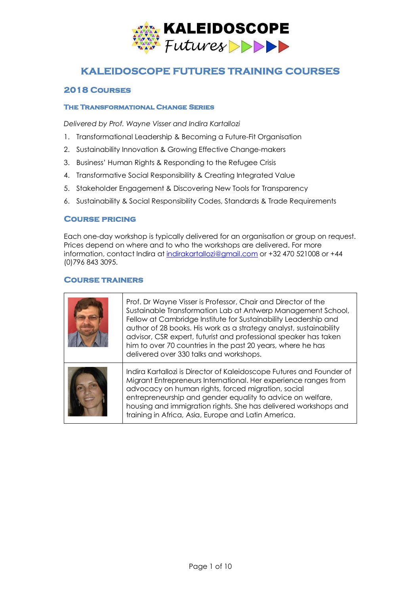

# **KALEIDOSCOPE FUTURES TRAINING COURSES**

# **2018 Courses**

### **The Transformational Change Series**

*Delivered by Prof. Wayne Visser and Indira Kartallozi*

- 1. Transformational Leadership & Becoming a Future-Fit Organisation
- 2. Sustainability Innovation & Growing Effective Change-makers
- 3. Business' Human Rights & Responding to the Refugee Crisis
- 4. Transformative Social Responsibility & Creating Integrated Value
- 5. Stakeholder Engagement & Discovering New Tools for Transparency
- 6. Sustainability & Social Responsibility Codes, Standards & Trade Requirements

## **Course pricing**

Each one-day workshop is typically delivered for an organisation or group on request. Prices depend on where and to who the workshops are delivered. For more information, contact Indira at indirakartallozi@gmail.com or +32 470 521008 or +44 (0)796 843 3095.

# **Course trainers**

| Prof. Dr Wayne Visser is Professor, Chair and Director of the<br>Sustainable Transformation Lab at Antwerp Management School,<br>Fellow at Cambridge Institute for Sustainability Leadership and<br>author of 28 books. His work as a strategy analyst, sustainability<br>advisor, CSR expert, futurist and professional speaker has taken<br>him to over 70 countries in the past 20 years, where he has<br>delivered over 330 talks and workshops. |
|------------------------------------------------------------------------------------------------------------------------------------------------------------------------------------------------------------------------------------------------------------------------------------------------------------------------------------------------------------------------------------------------------------------------------------------------------|
| Indira Kartallozi is Director of Kaleidoscope Futures and Founder of<br>Migrant Entrepreneurs International. Her experience ranges from<br>advocacy on human rights, forced migration, social<br>entrepreneurship and gender equality to advice on welfare,<br>housing and immigration rights. She has delivered workshops and<br>training in Africa, Asia, Europe and Latin America.                                                                |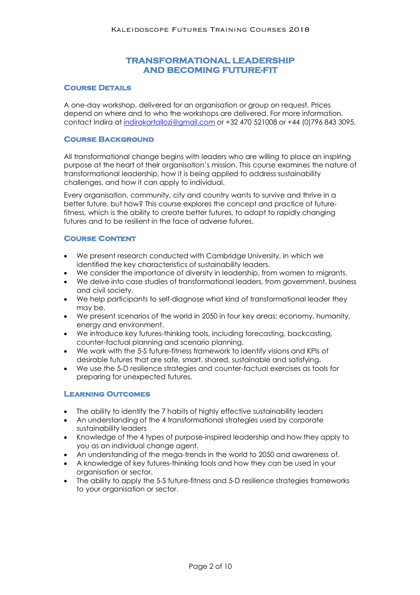# **TRANSFORMATIONAL LEADERSHIP AND BECOMING FUTURE-FIT**

#### **Course Details**

A one-day workshop, delivered for an organisation or group on request. Prices depend on where and to who the workshops are delivered. For more information, contact Indira at indirakartallozi@gmail.com or +32 470 521008 or +44 (0)796 843 3095.

#### **Course Background**

All transformational change begins with leaders who are willing to place an inspiring purpose at the heart of their organisation's mission. This course examines the nature of transformational leadership, how it is being applied to address sustainability challenges, and how it can apply to individual.

Every organisation, community, city and country wants to survive and thrive in a better future, but how? This course explores the concept and practice of futurefitness, which is the ability to create better futures, to adapt to rapidly changing futures and to be resilient in the face of adverse futures.

#### **Course Content**

- We present research conducted with Cambridge University, in which we identified the key characteristics of sustainability leaders.
- We consider the importance of diversity in leadership, from women to migrants.
- We delve into case studies of transformational leaders, from government, business and civil society.
- We help participants to self-diagnose what kind of transformational leader they may be.
- We present scenarios of the world in 2050 in four key areas: economy, humanity, energy and environment.
- We introduce key futures-thinking tools, including forecasting, backcasting, counter-factual planning and scenario planning.
- We work with the 5-S future-fitness framework to identify visions and KPIs of desirable futures that are safe, smart, shared, sustainable and satisfying.
- We use the 5-D resilience strategies and counter-factual exercises as tools for preparing for unexpected futures.

- The ability to identify the 7 habits of highly effective sustainability leaders
- An understanding of the 4 transformational strategies used by corporate sustainability leaders
- Knowledge of the 4 types of purpose-inspired leadership and how they apply to you as an individual change agent.
- An understanding of the mega-trends in the world to 2050 and awareness of.
- A knowledge of key futures-thinking tools and how they can be used in your organisation or sector.
- The ability to apply the 5-S future-fitness and 5-D resilience strategies frameworks to your organisation or sector.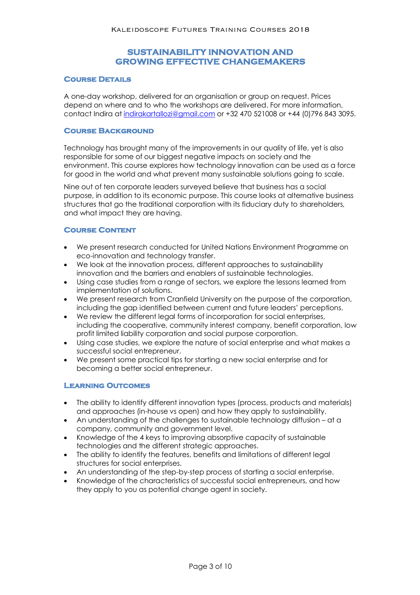# **SUSTAINABILITY INNOVATION AND GROWING EFFECTIVE CHANGEMAKERS**

#### **Course Details**

A one-day workshop, delivered for an organisation or group on request. Prices depend on where and to who the workshops are delivered. For more information, contact Indira at indirakartallozi@gmail.com or +32 470 521008 or +44 (0)796 843 3095.

#### **Course Background**

Technology has brought many of the improvements in our quality of life, yet is also responsible for some of our biggest negative impacts on society and the environment. This course explores how technology innovation can be used as a force for good in the world and what prevent many sustainable solutions going to scale.

Nine out of ten corporate leaders surveyed believe that business has a social purpose, in addition to its economic purpose. This course looks at alternative business structures that go the traditional corporation with its fiduciary duty to shareholders, and what impact they are having.

#### **Course Content**

- We present research conducted for United Nations Environment Programme on eco-innovation and technology transfer.
- We look at the innovation process, different approaches to sustainability innovation and the barriers and enablers of sustainable technologies.
- Using case studies from a range of sectors, we explore the lessons learned from implementation of solutions.
- We present research from Cranfield University on the purpose of the corporation, including the gap identified between current and future leaders' perceptions.
- We review the different legal forms of incorporation for social enterprises, including the cooperative, community interest company, benefit corporation, low profit limited liability corporation and social purpose corporation.
- Using case studies, we explore the nature of social enterprise and what makes a successful social entrepreneur.
- We present some practical tips for starting a new social enterprise and for becoming a better social entrepreneur.

- The ability to identify different innovation types (process, products and materials) and approaches (in-house vs open) and how they apply to sustainability.
- An understanding of the challenges to sustainable technology diffusion at a company, community and government level.
- Knowledge of the 4 keys to improving absorptive capacity of sustainable technologies and the different strategic approaches.
- The ability to identify the features, benefits and limitations of different legal structures for social enterprises.
- An understanding of the step-by-step process of starting a social enterprise.
- Knowledge of the characteristics of successful social entrepreneurs, and how they apply to you as potential change agent in society.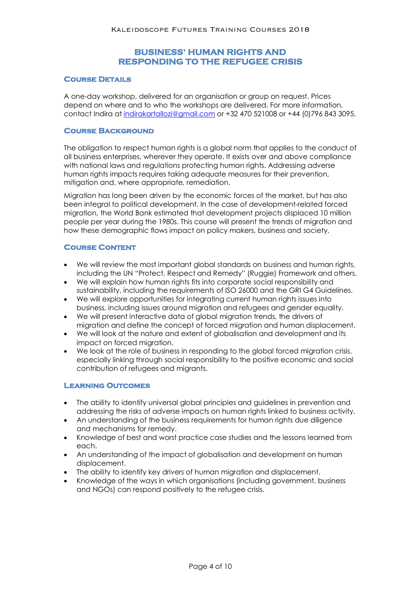# **BUSINESS' HUMAN RIGHTS AND RESPONDING TO THE REFUGEE CRISIS**

#### **Course Details**

A one-day workshop, delivered for an organisation or group on request. Prices depend on where and to who the workshops are delivered. For more information, contact Indira at indirakartallozi@gmail.com or +32 470 521008 or +44 (0)796 843 3095.

#### **Course Background**

The obligation to respect human rights is a global norm that applies to the conduct of all business enterprises, wherever they operate. It exists over and above compliance with national laws and regulations protecting human rights. Addressing adverse human rights impacts requires taking adequate measures for their prevention, mitigation and, where appropriate, remediation.

Migration has long been driven by the economic forces of the market, but has also been integral to political development. In the case of development-related forced migration, the World Bank estimated that development projects displaced 10 million people per year during the 1980s. This course will present the trends of migration and how these demographic flows impact on policy makers, business and society.

#### **Course Content**

- We will review the most important global standards on business and human rights, including the UN "Protect, Respect and Remedy" (Ruggie) Framework and others.
- We will explain how human rights fits into corporate social responsibility and sustainability, including the requirements of ISO 26000 and the GRI G4 Guidelines.
- We will explore opportunities for integrating current human rights issues into business, including issues around migration and refugees and gender equality.
- We will present interactive data of global migration trends, the drivers of migration and define the concept of forced migration and human displacement.
- We will look at the nature and extent of globalisation and development and its impact on forced migration.
- We look at the role of business in responding to the global forced migration crisis, especially linking through social responsibility to the positive economic and social contribution of refugees and migrants.

- The ability to identify universal global principles and guidelines in prevention and addressing the risks of adverse impacts on human rights linked to business activity.
- An understanding of the business requirements for human rights due diligence and mechanisms for remedy.
- Knowledge of best and worst practice case studies and the lessons learned from each.
- An understanding of the impact of globalisation and development on human displacement.
- The ability to identify key drivers of human migration and displacement.
- Knowledge of the ways in which organisations (including government, business and NGOs) can respond positively to the refugee crisis.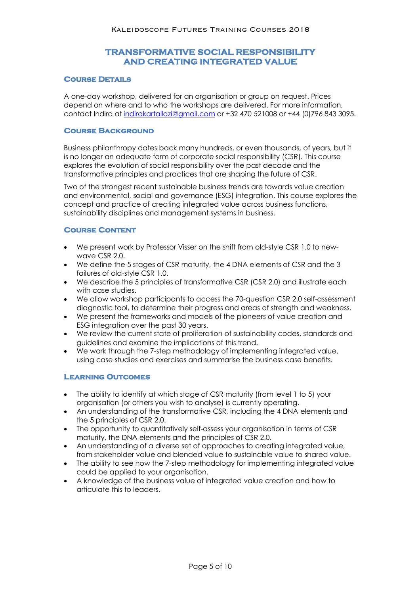# **TRANSFORMATIVE SOCIAL RESPONSIBILITY AND CREATING INTEGRATED VALUE**

#### **Course Details**

A one-day workshop, delivered for an organisation or group on request. Prices depend on where and to who the workshops are delivered. For more information, contact Indira at indirakartallozi@gmail.com or +32 470 521008 or +44 (0)796 843 3095.

#### **Course Background**

Business philanthropy dates back many hundreds, or even thousands, of years, but it is no longer an adequate form of corporate social responsibility (CSR). This course explores the evolution of social responsibility over the past decade and the transformative principles and practices that are shaping the future of CSR.

Two of the strongest recent sustainable business trends are towards value creation and environmental, social and governance (ESG) integration. This course explores the concept and practice of creating integrated value across business functions, sustainability disciplines and management systems in business.

## **Course Content**

- We present work by Professor Visser on the shift from old-style CSR 1.0 to newwave CSR 2.0.
- We define the 5 stages of CSR maturity, the 4 DNA elements of CSR and the 3 failures of old-style CSR 1.0.
- We describe the 5 principles of transformative CSR (CSR 2.0) and illustrate each with case studies.
- We allow workshop participants to access the 70-question CSR 2.0 self-assessment diagnostic tool, to determine their progress and areas of strength and weakness.
- We present the frameworks and models of the pioneers of value creation and ESG integration over the past 30 years.
- We review the current state of proliferation of sustainability codes, standards and guidelines and examine the implications of this trend.
- We work through the 7-step methodology of implementing integrated value, using case studies and exercises and summarise the business case benefits.

- The ability to identify at which stage of CSR maturity (from level 1 to 5) your organisation (or others you wish to analyse) is currently operating.
- An understanding of the transformative CSR, including the 4 DNA elements and the 5 principles of CSR 2.0.
- The opportunity to quantitatively self-assess your organisation in terms of CSR maturity, the DNA elements and the principles of CSR 2.0.
- An understanding of a diverse set of approaches to creating integrated value, from stakeholder value and blended value to sustainable value to shared value.
- The ability to see how the 7-step methodology for implementing integrated value could be applied to your organisation.
- A knowledge of the business value of integrated value creation and how to articulate this to leaders.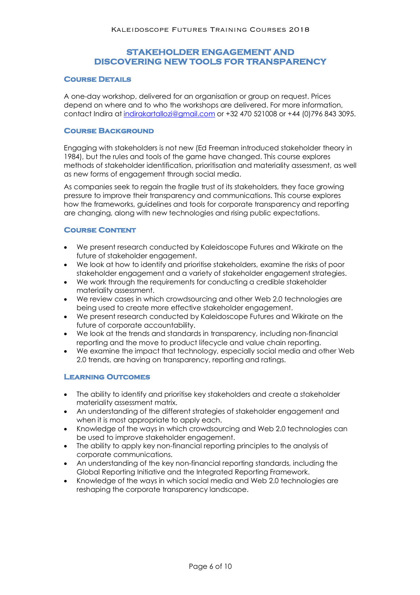# **STAKEHOLDER ENGAGEMENT AND DISCOVERING NEW TOOLS FOR TRANSPARENCY**

#### **Course Details**

A one-day workshop, delivered for an organisation or group on request. Prices depend on where and to who the workshops are delivered. For more information, contact Indira at indirakartallozi@gmail.com or +32 470 521008 or +44 (0)796 843 3095.

#### **Course Background**

Engaging with stakeholders is not new (Ed Freeman introduced stakeholder theory in 1984), but the rules and tools of the game have changed. This course explores methods of stakeholder identification, prioritisation and materiality assessment, as well as new forms of engagement through social media.

As companies seek to regain the fragile trust of its stakeholders, they face growing pressure to improve their transparency and communications. This course explores how the frameworks, guidelines and tools for corporate transparency and reporting are changing, along with new technologies and rising public expectations.

#### **Course Content**

- We present research conducted by Kaleidoscope Futures and Wikirate on the future of stakeholder engagement.
- We look at how to identify and prioritise stakeholders, examine the risks of poor stakeholder engagement and a variety of stakeholder engagement strategies.
- We work through the requirements for conducting a credible stakeholder materiality assessment.
- We review cases in which crowdsourcing and other Web 2.0 technologies are being used to create more effective stakeholder engagement.
- We present research conducted by Kaleidoscope Futures and Wikirate on the future of corporate accountability.
- We look at the trends and standards in transparency, including non-financial reporting and the move to product lifecycle and value chain reporting.
- We examine the impact that technology, especially social media and other Web 2.0 trends, are having on transparency, reporting and ratings.

- The ability to identify and prioritise key stakeholders and create a stakeholder materiality assessment matrix.
- An understanding of the different strategies of stakeholder engagement and when it is most appropriate to apply each.
- Knowledge of the ways in which crowdsourcing and Web 2.0 technologies can be used to improve stakeholder engagement.
- The ability to apply key non-financial reporting principles to the analysis of corporate communications.
- An understanding of the key non-financial reporting standards, including the Global Reporting Initiative and the Integrated Reporting Framework.
- Knowledge of the ways in which social media and Web 2.0 technologies are reshaping the corporate transparency landscape.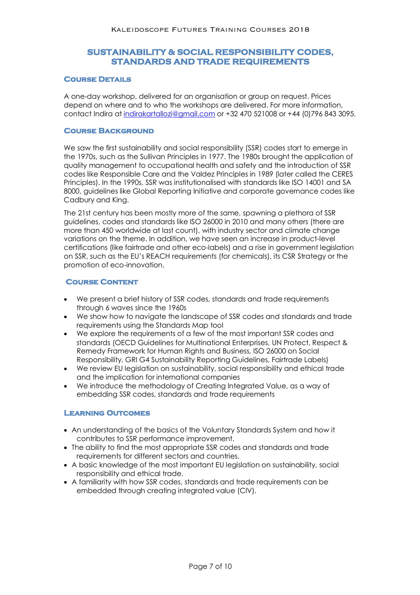# **SUSTAINABILITY & SOCIAL RESPONSIBILITY CODES, STANDARDS AND TRADE REQUIREMENTS**

#### **Course Details**

A one-day workshop, delivered for an organisation or group on request. Prices depend on where and to who the workshops are delivered. For more information, contact Indira at indirakartallozi@gmail.com or +32 470 521008 or +44 (0)796 843 3095.

#### **Course Background**

We saw the first sustainability and social responsibility (SSR) codes start to emerge in the 1970s, such as the Sullivan Principles in 1977. The 1980s brought the application of quality management to occupational health and safety and the introduction of SSR codes like Responsible Care and the Valdez Principles in 1989 (later called the CERES Principles). In the 1990s, SSR was institutionalised with standards like ISO 14001 and SA 8000, guidelines like Global Reporting Initiative and corporate governance codes like Cadbury and King.

The 21st century has been mostly more of the same, spawning a plethora of SSR guidelines, codes and standards like ISO 26000 in 2010 and many others (there are more than 450 worldwide at last count), with industry sector and climate change variations on the theme. In addition, we have seen an increase in product-level certifications (like fairtrade and other eco-labels) and a rise in government legislation on SSR, such as the EU's REACH requirements (for chemicals), its CSR Strategy or the promotion of eco-innovation.

#### **Course Content**

- We present a brief history of SSR codes, standards and trade requirements through 6 waves since the 1960s
- We show how to navigate the landscape of SSR codes and standards and trade requirements using the Standards Map tool
- We explore the requirements of a few of the most important SSR codes and standards (OECD Guidelines for Multinational Enterprises, UN Protect, Respect & Remedy Framework for Human Rights and Business, ISO 26000 on Social Responsibility, GRI G4 Sustainability Reporting Guidelines, Fairtrade Labels)
- We review EU legislation on sustainability, social responsibility and ethical trade and the implication for international companies
- We introduce the methodology of Creating Integrated Value, as a way of embedding SSR codes, standards and trade requirements

- An understanding of the basics of the Voluntary Standards System and how it contributes to SSR performance improvement.
- The ability to find the most appropriate SSR codes and standards and trade requirements for different sectors and countries.
- A basic knowledge of the most important EU legislation on sustainability, social responsibility and ethical trade.
- A familiarity with how SSR codes, standards and trade requirements can be embedded through creating integrated value (CIV).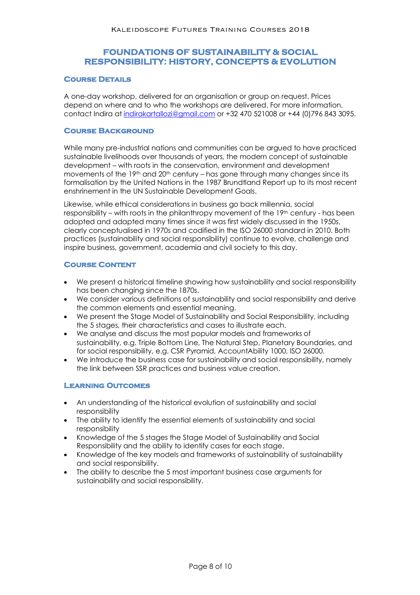# **FOUNDATIONS OF SUSTAINABILITY & SOCIAL RESPONSIBILITY: HISTORY, CONCEPTS & EVOLUTION**

### **Course Details**

A one-day workshop, delivered for an organisation or group on request. Prices depend on where and to who the workshops are delivered. For more information, contact Indira at indirakartallozi@gmail.com or +32 470 521008 or +44 (0)796 843 3095.

### **Course Background**

While many pre-industrial nations and communities can be argued to have practiced sustainable livelihoods over thousands of years, the modern concept of sustainable development – with roots in the conservation, environment and development movements of the 19th and 20th century – has gone through many changes since its formalisation by the United Nations in the 1987 Brundtland Report up to its most recent enshrinement in the UN Sustainable Development Goals.

Likewise, while ethical considerations in business go back millennia, social responsibility – with roots in the philanthropy movement of the 19th century - has been adopted and adapted many times since it was first widely discussed in the 1950s, clearly conceptualised in 1970s and codified in the ISO 26000 standard in 2010. Both practices (sustainability and social responsibility) continue to evolve, challenge and inspire business, government, academia and civil society to this day.

### **Course Content**

- We present a historical timeline showing how sustainability and social responsibility has been changing since the 1870s.
- We consider various definitions of sustainability and social responsibility and derive the common elements and essential meaning.
- We present the Stage Model of Sustainability and Social Responsibility, including the 5 stages, their characteristics and cases to illustrate each.
- We analyse and discuss the most popular models and frameworks of sustainability, e.g. Triple Bottom Line, The Natural Step, Planetary Boundaries, and for social responsibility, e.g. CSR Pyramid, AccountAbility 1000, ISO 26000.
- We introduce the business case for sustainability and social responsibility, namely the link between SSR practices and business value creation.

- An understanding of the historical evolution of sustainability and social responsibility
- The ability to identify the essential elements of sustainability and social responsibility
- Knowledge of the 5 stages the Stage Model of Sustainability and Social Responsibility and the ability to identify cases for each stage.
- Knowledge of the key models and frameworks of sustainability of sustainability and social responsibility.
- The ability to describe the 5 most important business case arguments for sustainability and social responsibility.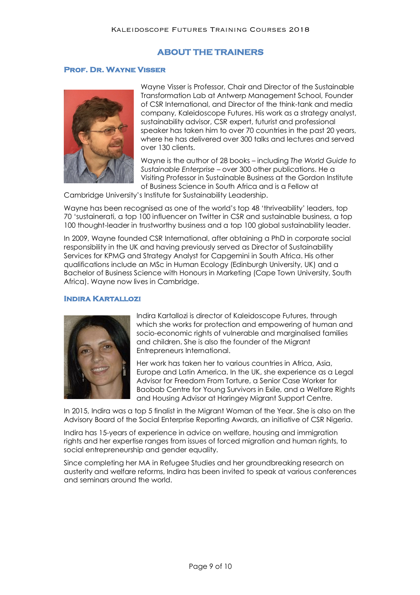### **ABOUT THE TRAINERS**

#### **Prof. Dr. Wayne Visser**



Wayne Visser is Professor, Chair and Director of the Sustainable Transformation Lab at Antwerp Management School, Founder of CSR International, and Director of the think-tank and media company, Kaleidoscope Futures. His work as a strategy analyst, sustainability advisor, CSR expert, futurist and professional speaker has taken him to over 70 countries in the past 20 years, where he has delivered over 300 talks and lectures and served over 130 clients.

Wayne is the author of 28 books – including *The World Guide to Sustainable Enterprise* – over 300 other publications. He a Visiting Professor in Sustainable Business at the Gordon Institute of Business Science in South Africa and is a Fellow at

Cambridge University's Institute for Sustainability Leadership.

Wayne has been recognised as one of the world's top 48 'thriveability' leaders, top 70 'sustainerati, a top 100 influencer on Twitter in CSR and sustainable business, a top 100 thought-leader in trustworthy business and a top 100 global sustainability leader.

In 2009, Wayne founded CSR International, after obtaining a PhD in corporate social responsibility in the UK and having previously served as Director of Sustainability Services for KPMG and Strategy Analyst for Capgemini in South Africa. His other qualifications include an MSc in Human Ecology (Edinburgh University, UK) and a Bachelor of Business Science with Honours in Marketing (Cape Town University, South Africa). Wayne now lives in Cambridge.

#### **Indira Kartallozi**



Indira Kartallozi is director of Kaleidoscope Futures, through which she works for protection and empowering of human and socio-economic rights of vulnerable and marginalised families and children. She is also the founder of the Migrant Entrepreneurs International.

Her work has taken her to various countries in Africa, Asia, Europe and Latin America. In the UK, she experience as a Legal Advisor for Freedom From Torture, a Senior Case Worker for Baobab Centre for Young Survivors in Exile, and a Welfare Rights and Housing Advisor at Haringey Migrant Support Centre.

In 2015, Indira was a top 5 finalist in the Migrant Woman of the Year. She is also on the Advisory Board of the Social Enterprise Reporting Awards, an initiative of CSR Nigeria.

Indira has 15-years of experience in advice on welfare, housing and immigration rights and her expertise ranges from issues of forced migration and human rights, to social entrepreneurship and gender equality.

Since completing her MA in Refugee Studies and her groundbreaking research on austerity and welfare reforms, Indira has been invited to speak at various conferences and seminars around the world.